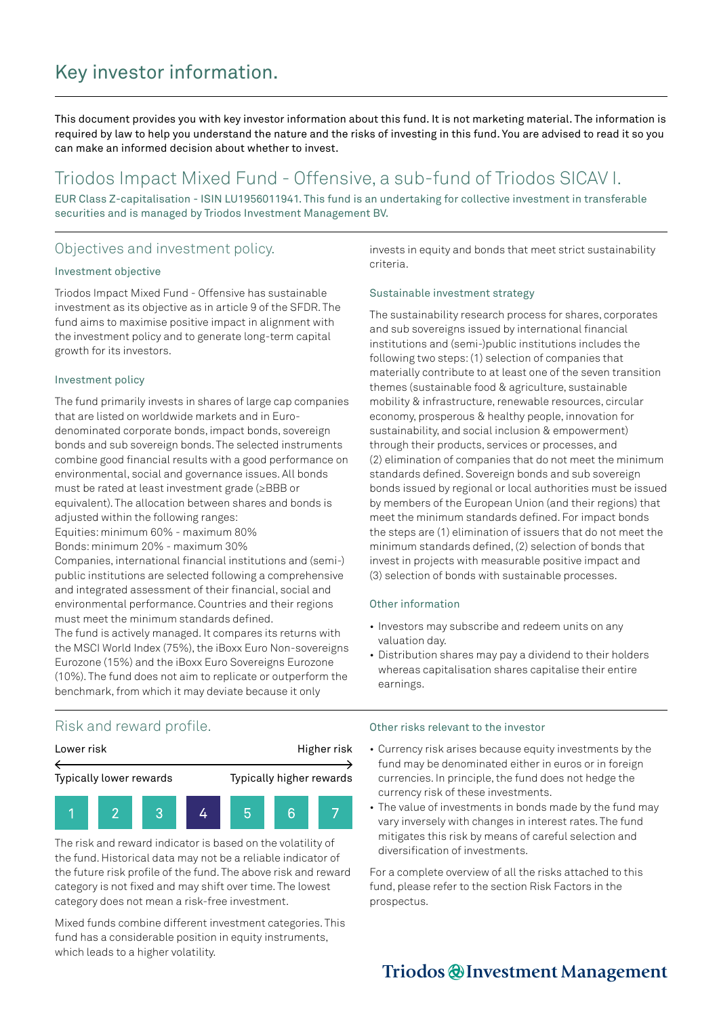# Key investor information.

This document provides you with key investor information about this fund. It is not marketing material. The information is required by law to help you understand the nature and the risks of investing in this fund. You are advised to read it so you can make an informed decision about whether to invest.

## Triodos Impact Mixed Fund - Offensive, a sub-fund of Triodos SICAV I.

EUR Class Z-capitalisation - ISIN LU1956011941. This fund is an undertaking for collective investment in transferable securities and is managed by Triodos Investment Management BV.

## Objectives and investment policy.

#### Investment objective

Triodos Impact Mixed Fund - Offensive has sustainable investment as its objective as in article 9 of the SFDR. The fund aims to maximise positive impact in alignment with the investment policy and to generate long-term capital growth for its investors.

#### Investment policy

The fund primarily invests in shares of large cap companies that are listed on worldwide markets and in Eurodenominated corporate bonds, impact bonds, sovereign bonds and sub sovereign bonds. The selected instruments combine good financial results with a good performance on environmental, social and governance issues. All bonds must be rated at least investment grade (≥BBB or equivalent). The allocation between shares and bonds is adjusted within the following ranges: Equities: minimum 60% - maximum 80%

Bonds: minimum 20% - maximum 30%

Companies, international financial institutions and (semi-) public institutions are selected following a comprehensive and integrated assessment of their financial, social and environmental performance. Countries and their regions must meet the minimum standards defined. The fund is actively managed. It compares its returns with the MSCI World Index (75%), the iBoxx Euro Non-sovereigns

Eurozone (15%) and the iBoxx Euro Sovereigns Eurozone (10%). The fund does not aim to replicate or outperform the benchmark, from which it may deviate because it only

invests in equity and bonds that meet strict sustainability criteria.

### Sustainable investment strategy

The sustainability research process for shares, corporates and sub sovereigns issued by international financial institutions and (semi-)public institutions includes the following two steps: (1) selection of companies that materially contribute to at least one of the seven transition themes (sustainable food & agriculture, sustainable mobility & infrastructure, renewable resources, circular economy, prosperous & healthy people, innovation for sustainability, and social inclusion & empowerment) through their products, services or processes, and (2) elimination of companies that do not meet the minimum standards defined. Sovereign bonds and sub sovereign bonds issued by regional or local authorities must be issued by members of the European Union (and their regions) that meet the minimum standards defined. For impact bonds the steps are (1) elimination of issuers that do not meet the minimum standards defined, (2) selection of bonds that invest in projects with measurable positive impact and (3) selection of bonds with sustainable processes.

### Other information

- Investors may subscribe and redeem units on any valuation day.
- Distribution shares may pay a dividend to their holders whereas capitalisation shares capitalise their entire earnings.

### Risk and reward profile.



The risk and reward indicator is based on the volatility of the fund. Historical data may not be a reliable indicator of the future risk profile of the fund. The above risk and reward category is not fixed and may shift over time. The lowest category does not mean a risk-free investment.

Mixed funds combine different investment categories. This fund has a considerable position in equity instruments, which leads to a higher volatility.

#### Other risks relevant to the investor

- Currency risk arises because equity investments by the fund may be denominated either in euros or in foreign currencies. In principle, the fund does not hedge the currency risk of these investments.
- The value of investments in bonds made by the fund may vary inversely with changes in interest rates. The fund mitigates this risk by means of careful selection and diversification of investments.

For a complete overview of all the risks attached to this fund, please refer to the section Risk Factors in the prospectus.

## Triodos @Investment Management